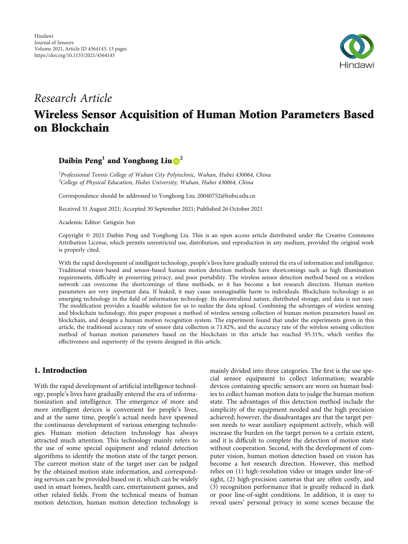

## Research Article

# Wireless Sensor Acquisition of Human Motion Parameters Based on Blockchain

## Daibin Peng**<sup>1</sup>** and Yonghong Liu **<sup>2</sup>**

<sup>1</sup> Professional Tennis College of Wuhan City Polytechnic, Wuhan, Hubei 430064, China  $^{2}$ College of Physical Education, Hubei University, Wuhan, Hubei 430064, China

Correspondence should be addressed to Yonghong Liu; 20040752@hubu.edu.cn

Received 31 August 2021; Accepted 30 September 2021; Published 26 October 2021

Academic Editor: Gengxin Sun

Copyright © 2021 Daibin Peng and Yonghong Liu. This is an open access article distributed under the [Creative Commons](https://creativecommons.org/licenses/by/4.0/) [Attribution License](https://creativecommons.org/licenses/by/4.0/), which permits unrestricted use, distribution, and reproduction in any medium, provided the original work is properly cited.

With the rapid development of intelligent technology, people's lives have gradually entered the era of information and intelligence. Traditional vision-based and sensor-based human motion detection methods have shortcomings such as high illumination requirements, difficulty in preserving privacy, and poor portability. The wireless sensor detection method based on a wireless network can overcome the shortcomings of these methods, so it has become a hot research direction. Human motion parameters are very important data. If leaked, it may cause unimaginable harm to individuals. Blockchain technology is an emerging technology in the field of information technology. Its decentralized nature, distributed storage, and data is not easy. The modification provides a feasible solution for us to realize the data upload. Combining the advantages of wireless sensing and blockchain technology, this paper proposes a method of wireless sensing collection of human motion parameters based on blockchain, and designs a human motion recognition system. The experiment found that under the experiments given in this article, the traditional accuracy rate of sensor data collection is 71.82%, and the accuracy rate of the wireless sensing collection method of human motion parameters based on the blockchain in this article has reached 95.31%, which verifies the effectiveness and superiority of the system designed in this article.

## 1. Introduction

With the rapid development of artificial intelligence technology, people's lives have gradually entered the era of informationization and intelligence. The emergence of more and more intelligent devices is convenient for people's lives, and at the same time, people's actual needs have spawned the continuous development of various emerging technologies. Human motion detection technology has always attracted much attention. This technology mainly refers to the use of some special equipment and related detection algorithms to identify the motion state of the target person. The current motion state of the target user can be judged by the obtained motion state information, and corresponding services can be provided based on it, which can be widely used in smart homes, health care, entertainment games, and other related fields. From the technical means of human motion detection, human motion detection technology is

mainly divided into three categories. The first is the use special sensor equipment to collect information; wearable devices containing specific sensors are worn on human bodies to collect human motion data to judge the human motion state. The advantages of this detection method include the simplicity of the equipment needed and the high precision achieved; however, the disadvantages are that the target person needs to wear auxiliary equipment actively, which will increase the burden on the target person to a certain extent, and it is difficult to complete the detection of motion state without cooperation. Second, with the development of computer vision, human motion detection based on vision has become a hot research direction. However, this method relies on (1) high-resolution video or images under line-ofsight, (2) high-precision cameras that are often costly, and (3) recognition performance that is greatly reduced in dark or poor line-of-sight conditions. In addition, it is easy to reveal users' personal privacy in some scenes because the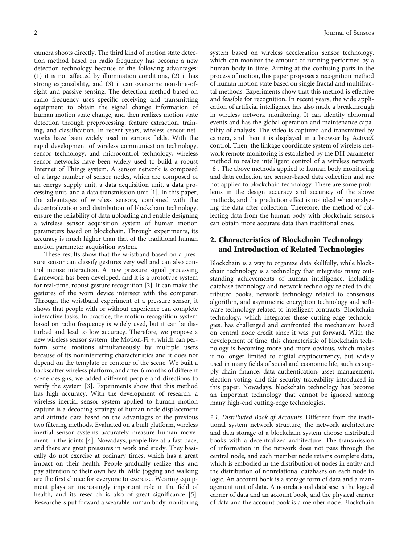camera shoots directly. The third kind of motion state detection method based on radio frequency has become a new detection technology because of the following advantages: (1) it is not affected by illumination conditions, (2) it has strong expansibility, and (3) it can overcome non-line-ofsight and passive sensing. The detection method based on radio frequency uses specific receiving and transmitting equipment to obtain the signal change information of human motion state change, and then realizes motion state detection through preprocessing, feature extraction, training, and classification. In recent years, wireless sensor networks have been widely used in various fields. With the rapid development of wireless communication technology, sensor technology, and microcontrol technology, wireless sensor networks have been widely used to build a robust Internet of Things system. A sensor network is composed of a large number of sensor nodes, which are composed of an energy supply unit, a data acquisition unit, a data processing unit, and a data transmission unit [[1\]](#page-12-0). In this paper, the advantages of wireless sensors, combined with the decentralization and distribution of blockchain technology, ensure the reliability of data uploading and enable designing a wireless sensor acquisition system of human motion parameters based on blockchain. Through experiments, its accuracy is much higher than that of the traditional human motion parameter acquisition system.

These results show that the wristband based on a pressure sensor can classify gestures very well and can also control mouse interaction. A new pressure signal processing framework has been developed, and it is a prototype system for real-time, robust gesture recognition [[2\]](#page-12-0). It can make the gestures of the worn device intersect with the computer. Through the wristband experiment of a pressure sensor, it shows that people with or without experience can complete interactive tasks. In practice, the motion recognition system based on radio frequency is widely used, but it can be disturbed and lead to low accuracy. Therefore, we propose a new wireless sensor system, the Motion-Fi +, which can perform some motions simultaneously by multiple users because of its noninterfering characteristics and it does not depend on the template or contour of the scene. We built a backscatter wireless platform, and after 6 months of different scene designs, we added different people and directions to verify the system [[3\]](#page-12-0). Experiments show that this method has high accuracy. With the development of research, a wireless inertial sensor system applied to human motion capture is a decoding strategy of human node displacement and attitude data based on the advantages of the previous two filtering methods. Evaluated on a built platform, wireless inertial sensor systems accurately measure human movement in the joints [\[4](#page-12-0)]. Nowadays, people live at a fast pace, and there are great pressures in work and study. They basically do not exercise at ordinary times, which has a great impact on their health. People gradually realize this and pay attention to their own health. Mild jogging and walking are the first choice for everyone to exercise. Wearing equipment plays an increasingly important role in the field of health, and its research is also of great significance [[5](#page-12-0)]. Researchers put forward a wearable human body monitoring

system based on wireless acceleration sensor technology, which can monitor the amount of running performed by a human body in time. Aiming at the confusing parts in the process of motion, this paper proposes a recognition method of human motion state based on single fractal and multifractal methods. Experiments show that this method is effective and feasible for recognition. In recent years, the wide application of artificial intelligence has also made a breakthrough in wireless network monitoring. It can identify abnormal events and has the global operation and maintenance capability of analysis. The video is captured and transmitted by camera, and then it is displayed in a browser by ActiveX control. Then, the linkage coordinate system of wireless network remote monitoring is established by the DH parameter method to realize intelligent control of a wireless network [\[6](#page-12-0)]. The above methods applied to human body monitoring and data collection are sensor-based data collection and are not applied to blockchain technology. There are some problems in the design accuracy and accuracy of the above methods, and the prediction effect is not ideal when analyzing the data after collection. Therefore, the method of collecting data from the human body with blockchain sensors can obtain more accurate data than traditional ones.

## 2. Characteristics of Blockchain Technology and Introduction of Related Technologies

Blockchain is a way to organize data skillfully, while blockchain technology is a technology that integrates many outstanding achievements of human intelligence, including database technology and network technology related to distributed books, network technology related to consensus algorithm, and asymmetric encryption technology and software technology related to intelligent contracts. Blockchain technology, which integrates these cutting-edge technologies, has challenged and confronted the mechanism based on central node credit since it was put forward. With the development of time, this characteristic of blockchain technology is becoming more and more obvious, which makes it no longer limited to digital cryptocurrency, but widely used in many fields of social and economic life, such as supply chain finance, data authentication, asset management, election voting, and fair security traceability introduced in this paper. Nowadays, blockchain technology has become an important technology that cannot be ignored among many high-end cutting-edge technologies.

2.1. Distributed Book of Accounts. Different from the traditional system network structure, the network architecture and data storage of a blockchain system choose distributed books with a decentralized architecture. The transmission of information in the network does not pass through the central node, and each member node retains complete data, which is embodied in the distribution of nodes in entity and the distribution of nonrelational databases on each node in logic. An account book is a storage form of data and a management unit of data. A nonrelational database is the logical carrier of data and an account book, and the physical carrier of data and the account book is a member node. Blockchain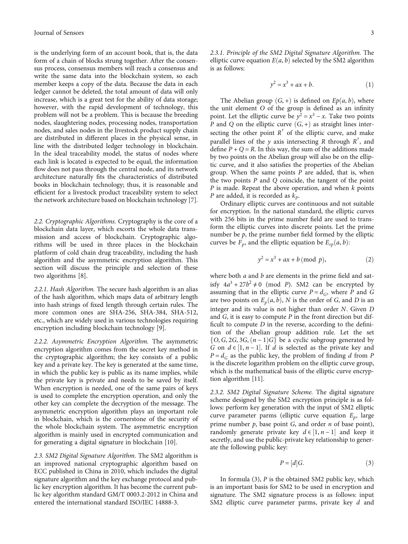is the underlying form of an account book, that is, the data form of a chain of blocks strung together. After the consensus process, consensus members will reach a consensus and write the same data into the blockchain system, so each member keeps a copy of the data. Because the data in each ledger cannot be deleted, the total amount of data will only increase, which is a great test for the ability of data storage; however, with the rapid development of technology, this problem will not be a problem. This is because the breeding nodes, slaughtering nodes, processing nodes, transportation nodes, and sales nodes in the livestock product supply chain are distributed in different places in the physical sense, in line with the distributed ledger technology in blockchain. In the ideal traceability model, the status of nodes where each link is located is expected to be equal, the information flow does not pass through the central node, and its network architecture naturally fits the characteristics of distributed books in blockchain technology; thus, it is reasonable and efficient for a livestock product traceability system to select the network architecture based on blockchain technology [[7](#page-12-0)].

2.2. Cryptographic Algorithms. Cryptography is the core of a blockchain data layer, which escorts the whole data transmission and access of blockchain. Cryptographic algorithms will be used in three places in the blockchain platform of cold chain drug traceability, including the hash algorithm and the asymmetric encryption algorithm. This section will discuss the principle and selection of these two algorithms [\[8](#page-12-0)].

2.2.1. Hash Algorithm. The secure hash algorithm is an alias of the hash algorithm, which maps data of arbitrary length into hash strings of fixed length through certain rules. The more common ones are SHA-256, SHA-384, SHA-512, etc., which are widely used in various technologies requiring encryption including blockchain technology [[9\]](#page-12-0).

2.2.2. Asymmetric Encryption Algorithm. The asymmetric encryption algorithm comes from the secret key method in the cryptographic algorithm; the key consists of a public key and a private key. The key is generated at the same time, in which the public key is public as its name implies, while the private key is private and needs to be saved by itself. When encryption is needed, one of the same pairs of keys is used to complete the encryption operation, and only the other key can complete the decryption of the message. The asymmetric encryption algorithm plays an important role in blockchain, which is the cornerstone of the security of the whole blockchain system. The asymmetric encryption algorithm is mainly used in encrypted communication and for generating a digital signature in blockchain [[10](#page-12-0)].

2.3. SM2 Digital Signature Algorithm. The SM2 algorithm is an improved national cryptographic algorithm based on ECC published in China in 2010, which includes the digital signature algorithm and the key exchange protocol and public key encryption algorithm. It has become the current public key algorithm standard GM/T 0003.2-2012 in China and entered the international standard ISO/IEC 14888-3.

2.3.1. Principle of the SM2 Digital Signature Algorithm. The elliptic curve equation  $E(a, b)$  selected by the SM2 algorithm is as follows:

$$
y^2 = x^3 + ax + b. \t\t(1)
$$

The Abelian group  $(G, +)$  is defined on  $Ep(a, b)$ , where the unit element *O* of the group is defined as an infinity point. Let the elliptic curve be  $y^2 = x^3 - x$ . Take two points *P* and *Q* on the elliptic curve  $(G, +)$  as straight lines intersecting the other point  $R'$  of the elliptic curve, and make parallel lines of the *y* axis intersecting *R* through *R*′, and define  $P + Q = R$ . In this way, the sum of the additions made by two points on the Abelian group will also be on the elliptic curve, and it also satisfies the properties of the Abelian group. When the same points *P* are added, that is, when the two points *P* and *Q* coincide, the tangent of the point *P* is made. Repeat the above operation, and when *k* points *P* are added, it is recorded as  $k_p$ .

Ordinary elliptic curves are continuous and not suitable for encryption. In the national standard, the elliptic curves with 256 bits in the prime number field are used to transform the elliptic curves into discrete points. Let the prime number be  $p$ , the prime number field formed by the elliptic curves be  $F_p$ , and the elliptic equation be  $E_{rp}(a, b)$ :

$$
y^2 = x^3 + ax + b \pmod{p},\tag{2}
$$

where both *a* and *b* are elements in the prime field and satisfy  $4a^3 + 27b^2 \neq 0$  (mod *P*). SM2 can be encrypted by assuming that in the elliptic curve  $P = d_G$ , where *P* and *G* are two points on  $E_p(a, b)$ , *N* is the order of *G*, and *D* is an integer and its value is not higher than order *N*. Given *D* and *G*, it is easy to compute *P* in the front direction but difficult to compute *D* in the reverse, according to the definition of the Abelian group addition rule. Let the set  $\{O, G, 2G, 3G, (n-1)G\}$  be a cyclic subgroup generated by *G* on *d* ∈  $[1, n-1]$ . If *d* is selected as the private key and  $P = d_0$  as the public key the problem of finding *d* from *P*  $P = d_G$  as the public key, the problem of finding *d* from *P* is the discrete logarithm problem on the elliptic curve group, which is the mathematical basis of the elliptic curve encryption algorithm [[11](#page-12-0)].

2.3.2. SM2 Digital Signature Scheme. The digital signature scheme designed by the SM2 encryption principle is as follows: perform key generation with the input of SM2 elliptic curve parameter parms (elliptic curve equation *Ep*, large prime number *p*, base point *G*, and order *n* of base point), randomly generate private key  $d \in [1, n-1]$  and keep it secretly and use the public-private key relationship to genersecretly, and use the public-private key relationship to generate the following public key:

$$
P = [d]G.\t\t(3)
$$

In formula (3), *P* is the obtained SM2 public key, which is an important basis for SM2 to be used in encryption and signature. The SM2 signature process is as follows: input SM2 elliptic curve parameter parms, private key *d* and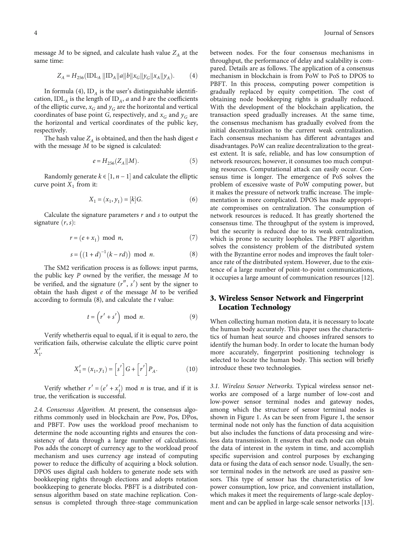$$
Z_A = H_{256} ( \text{IDL}_A || \text{ID}_A ||a|| b ||x_G|| y_G ||x_A|| y_A ).
$$
 (4)

In formula (4),  $ID_A$  is the user's distinguishable identification,  $IDL<sub>A</sub>$  is the length of  $ID<sub>A</sub>$ , *a* and *b* are the coefficients of the elliptic curve,  $x_G$  and  $y_G$  are the horizontal and vertical coordinates of base point *G*, respectively, and  $x_G$  and  $y_G$  are the horizontal and vertical coordinates of the public key, respectively.

The hash value  $Z_A$  is obtained, and then the hash digest  $e$ with the message *M* to be signed is calculated:

$$
e = H_{256}(Z_A || M). \tag{5}
$$

Randomly generate  $k \in [1, n-1]$  and calculate the elliptic  $xe$  point  $X$ , from it: curve point  $X_1$  from it:

$$
X_1 = (x_1, y_1) = [k]G.
$$
 (6)

Calculate the signature parameters *r* and *s* to output the signature  $(r, s)$ :

$$
r = (e + x_1) \mod n,\tag{7}
$$

$$
s = ((1 + d)^{-1}(k - rd)) \mod n.
$$
 (8)

The SM2 verification process is as follows: input parms, the public key *P* owned by the verifier, the message *M* to be verified, and the signature  $(r'', s')$  sent by the signer to obtain the hash digest *e* of the message *M* to be verified according to formula (8), and calculate the *t* value:

$$
t = \left(r' + s'\right) \text{ mod } n. \tag{9}
$$

Verify whether*t*is equal to equal, if it is equal to zero, the verification fails, otherwise calculate the elliptic curve point  $X'_{1}$ 

$$
X_1' = (x_1, y_1) = \left[ s' \right] G + \left[ r' \right] P_A. \tag{10}
$$

Verify whether  $r' = (e' + x'_1) \text{ mod } n$  is true, and if it is true, the verification is successful.

2.4. Consensus Algorithm. At present, the consensus algorithms commonly used in blockchain are Pow, Pos, DPos, and PBFT. Pow uses the workload proof mechanism to determine the node accounting rights and ensures the consistency of data through a large number of calculations. Pos adds the concept of currency age to the workload proof mechanism and uses currency age instead of computing power to reduce the difficulty of acquiring a block solution. DPOS uses digital cash holders to generate node sets with bookkeeping rights through elections and adopts rotation bookkeeping to generate blocks. PBFT is a distributed consensus algorithm based on state machine replication. Consensus is completed through three-stage communication

between nodes. For the four consensus mechanisms in throughput, the performance of delay and scalability is compared. Details are as follows. The application of a consensus mechanism in blockchain is from PoW to PoS to DPOS to PBFT. In this process, computing power competition is gradually replaced by equity competition. The cost of obtaining node bookkeeping rights is gradually reduced. With the development of the blockchain application, the transaction speed gradually increases. At the same time, the consensus mechanism has gradually evolved from the initial decentralization to the current weak centralization. Each consensus mechanism has different advantages and disadvantages. PoW can realize decentralization to the greatest extent. It is safe, reliable, and has low consumption of network resources; however, it consumes too much computing resources. Computational attack can easily occur. Consensus time is longer. The emergence of PoS solves the problem of excessive waste of PoW computing power, but it makes the pressure of network traffic increase. The implementation is more complicated. DPOS has made appropriate compromises on centralization. The consumption of network resources is reduced. It has greatly shortened the consensus time. The throughput of the system is improved, but the security is reduced due to its weak centralization, which is prone to security loopholes. The PBFT algorithm solves the consistency problem of the distributed system with the Byzantine error nodes and improves the fault tolerance rate of the distributed system. However, due to the existence of a large number of point-to-point communications, it occupies a large amount of communication resources [[12](#page-12-0)].

## 3. Wireless Sensor Network and Fingerprint Location Technology

When collecting human motion data, it is necessary to locate the human body accurately. This paper uses the characteristics of human heat source and chooses infrared sensors to identify the human body. In order to locate the human body more accurately, fingerprint positioning technology is selected to locate the human body. This section will briefly introduce these two technologies.

3.1. Wireless Sensor Networks. Typical wireless sensor networks are composed of a large number of low-cost and low-power sensor terminal nodes and gateway nodes, among which the structure of sensor terminal nodes is shown in Figure [1.](#page-4-0) As can be seen from Figure [1](#page-4-0), the sensor terminal node not only has the function of data acquisition but also includes the functions of data processing and wireless data transmission. It ensures that each node can obtain the data of interest in the system in time, and accomplish specific supervision and control purposes by exchanging data or fusing the data of each sensor node. Usually, the sensor terminal nodes in the network are used as passive sensors. This type of sensor has the characteristics of low power consumption, low price, and convenient installation, which makes it meet the requirements of large-scale deployment and can be applied in large-scale sensor networks [[13](#page-12-0)].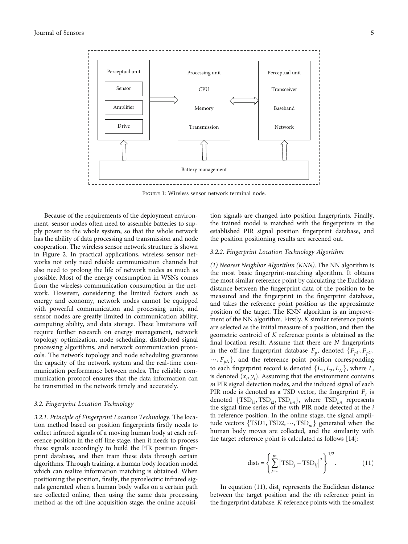<span id="page-4-0"></span>

Figure 1: Wireless sensor network terminal node.

Because of the requirements of the deployment environment, sensor nodes often need to assemble batteries to supply power to the whole system, so that the whole network has the ability of data processing and transmission and node cooperation. The wireless sensor network structure is shown in Figure [2.](#page-5-0) In practical applications, wireless sensor networks not only need reliable communication channels but also need to prolong the life of network nodes as much as possible. Most of the energy consumption in WSNs comes from the wireless communication consumption in the network. However, considering the limited factors such as energy and economy, network nodes cannot be equipped with powerful communication and processing units, and sensor nodes are greatly limited in communication ability, computing ability, and data storage. These limitations will require further research on energy management, network topology optimization, node scheduling, distributed signal processing algorithms, and network communication protocols. The network topology and node scheduling guarantee the capacity of the network system and the real-time communication performance between nodes. The reliable communication protocol ensures that the data information can be transmitted in the network timely and accurately.

#### 3.2. Fingerprint Location Technology

3.2.1. Principle of Fingerprint Location Technology. The location method based on position fingerprints firstly needs to collect infrared signals of a moving human body at each reference position in the off-line stage, then it needs to process these signals accordingly to build the PIR position fingerprint database, and then train these data through certain algorithms. Through training, a human body location model which can realize information matching is obtained. When positioning the position, firstly, the pyroelectric infrared signals generated when a human body walks on a certain path are collected online, then using the same data processing method as the off-line acquisition stage, the online acquisition signals are changed into position fingerprints. Finally, the trained model is matched with the fingerprints in the established PIR signal position fingerprint database, and the position positioning results are screened out.

#### 3.2.2. Fingerprint Location Technology Algorithm

(1) Nearest Neighbor Algorithm (KNN). The NN algorithm is the most basic fingerprint-matching algorithm. It obtains the most similar reference point by calculating the Euclidean distance between the fingerprint data of the position to be measured and the fingerprint in the fingerprint database, and takes the reference point position as the approximate position of the target. The KNN algorithm is an improvement of the NN algorithm. Firstly, *K* similar reference points are selected as the initial measure of a position, and then the geometric centroid of *K* reference points is obtained as the final location result. Assume that there are *N* fingerprints in the off-line fingerprint database  $F_p$ , denoted  $\{F_{p1}, F_{p2},\}$  $..., F_{pN}$ , and the reference point position corresponding to each fingerprint record is denoted  $\{L_1, L_2, L_N\}$ , where  $L_i$ is denoted  $(x_i, y_i)$ . Assuming that the environment contains  $m$  PIR signal detection nodes and the induced signal of each *m* PIR signal detection nodes, and the induced signal of each PIR node is denoted as a TSD vector, the fingerprint  $F_r$  is denoted {TSD<sub>*i*1</sub></sub>, TSD<sub>*i*2</sub>, TSD<sub>*im*</sub>}, where TSD<sub>*im*</sub> represents the signal time series of the *m*th PIR node detected at the *i* th reference position. In the online stage, the signal amplitude vectors  $\{TSD1, TSD2, \dots, TSD_m\}$  generated when the human body moves are collected, and the similarity with the target reference point is calculated as follows [[14\]](#page-12-0):

$$
dist_{i} = \left\{ \sum_{j=1}^{m} |TSD_{j} - TSD_{ij}|^{2} \right\}^{1/2}.
$$
 (11)

In equation (11), dist*<sup>i</sup>* represents the Euclidean distance between the target position and the *i*th reference point in the fingerprint database. *K* reference points with the smallest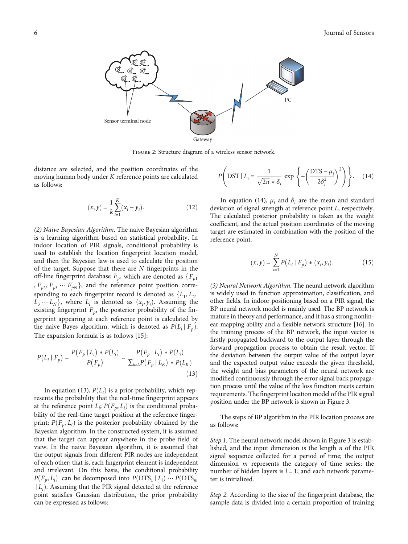<span id="page-5-0"></span>

Figure 2: Structure diagram of a wireless sensor network.

distance are selected, and the position coordinates of the moving human body under *K* reference points are calculated as follows:

$$
(x, y) = \frac{1}{k} \sum_{i=1}^{K} (x_i - y_i).
$$
 (12)

(2) Naive Bayesian Algorithm. The naive Bayesian algorithm is a learning algorithm based on statistical probability. In indoor location of PIR signals, conditional probability is used to establish the location fingerprint location model, and then the Bayesian law is used to calculate the position of the target. Suppose that there are *N* fingerprints in the off-line fingerprint database  $F_p$ , which are denoted as  $\{F_{p1}$ ,  $F_{p2}$ ,  $F_{p3}$   $\cdots$   $F_{pN}$ , and the reference point position corresponding to each fingerprint record is denoted as  ${L_1, L_2,$  $\hat{L}_3 \cdots \hat{L}_N$ , where  $L_i$  is denoted as  $(x_i, y_i)$ . Assuming the existing fingerprint *F*, the posterior probability of the finexisting fingerprint  $F_p$ , the posterior probability of the fingerprint appearing at each reference point is calculated by the naive Bayes algorithm, which is denoted as  $P(L_i | F_p)$ . The expansion formula is as follows [\[15\]](#page-12-0):

$$
P(L_i | F_p) = \frac{P(F_p | L_i) * P(L_i)}{P(F_p)} = \frac{P(F_p | L_i) * P(L_i)}{\sum_{k \in L} P(F_p | L_k) * P(L_k)}.
$$
\n(13)

In equation (13),  $P(L_i)$  is a prior probability, which rep-<br>nts the probability that the real-time fingerprint appears resents the probability that the real-time fingerprint appears at the reference point  $L_i$ ;  $P(F_p, L_i)$  is the conditional proba-<br>bility of the real time terms position at the reference fines bility of the real-time target position at the reference fingerprint;  $P(F_p, L_i)$  is the posterior probability obtained by the **Paysein algorithm**. In the constructed system, it is assumed Bayesian algorithm. In the constructed system, it is assumed that the target can appear anywhere in the probe field of view. In the naive Bayesian algorithm, it is assumed that the output signals from different PIR nodes are independent of each other; that is, each fingerprint element is independent and irrelevant. On this basis, the conditional probability  $P(F_p, L_i)$  can be decomposed into  $P(DTS_1 | L_i) \cdots P(DTS_m)$  $|L_i\rangle$ . Assuming that the PIR signal detected at the reference point satisfies. Gaussian distribution, the prior probability point satisfies Gaussian distribution, the prior probability can be expressed as follows:

$$
P\left(DST \mid L_i = \frac{1}{\sqrt{2\pi} * \delta_i} \exp\left\{-\left(\frac{DTS - \mu_i}{2\delta_i^2}\right)^2\right)\right\}.
$$
 (14)

In equation (14),  $\mu_i$  and  $\delta_i$  are the mean and standard deviation of signal strength at reference point *L*, respectively. The calculated posterior probability is taken as the weight coefficient, and the actual position coordinates of the moving target are estimated in combination with the position of the reference point.

$$
(x, y) = \sum_{i=1}^{N} P(L_i \mid F_p) * (x_i, y_i).
$$
 (15)

(3) Neural Network Algorithm. The neural network algorithm is widely used in function approximation, classification, and other fields. In indoor positioning based on a PIR signal, the BP neural network model is mainly used. The BP network is mature in theory and performance, and it has a strong nonlinear mapping ability and a flexible network structure [\[16\]](#page-12-0). In the training process of the BP network, the input vector is firstly propagated backward to the output layer through the forward propagation process to obtain the result vector. If the deviation between the output value of the output layer and the expected output value exceeds the given threshold, the weight and bias parameters of the neural network are modified continuously through the error signal back propagation process until the value of the loss function meets certain requirements. The fingerprint location model of the PIR signal position under the BP network is shown in Figure [3](#page-6-0).

The steps of BP algorithm in the PIR location process are as follows:

Step 1. The neural network model shown in Figure [3](#page-6-0) is established, and the input dimension is the length *n* of the PIR signal sequence collected for a period of time; the output dimension *m* represents the category of time series; the number of hidden layers is  $l = 1$ ; and each network parameter is initialized.

Step 2. According to the size of the fingerprint database, the sample data is divided into a certain proportion of training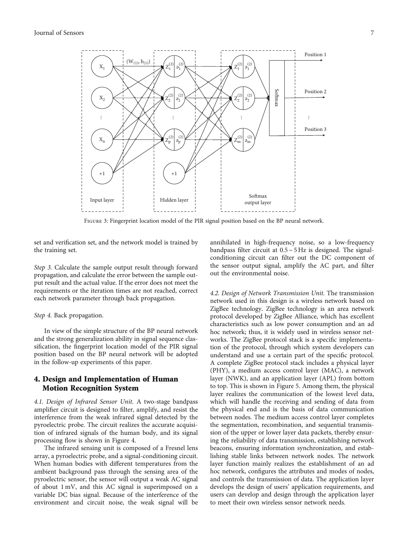<span id="page-6-0"></span>

Figure 3: Fingerprint location model of the PIR signal position based on the BP neural network.

set and verification set, and the network model is trained by the training set.

Step 3. Calculate the sample output result through forward propagation, and calculate the error between the sample output result and the actual value. If the error does not meet the requirements or the iteration times are not reached, correct each network parameter through back propagation.

#### Step 4. Back propagation.

In view of the simple structure of the BP neural network and the strong generalization ability in signal sequence classification, the fingerprint location model of the PIR signal position based on the BP neural network will be adopted in the follow-up experiments of this paper.

## 4. Design and Implementation of Human Motion Recognition System

4.1. Design of Infrared Sensor Unit. A two-stage bandpass amplifier circuit is designed to filter, amplify, and resist the interference from the weak infrared signal detected by the pyroelectric probe. The circuit realizes the accurate acquisition of infrared signals of the human body, and its signal processing flow is shown in Figure [4.](#page-7-0)

The infrared sensing unit is composed of a Fresnel lens array, a pyroelectric probe, and a signal-conditioning circuit. When human bodies with different temperatures from the ambient background pass through the sensing area of the pyroelectric sensor, the sensor will output a weak AC signal of about 1 mV, and this AC signal is superimposed on a variable DC bias signal. Because of the interference of the environment and circuit noise, the weak signal will be annihilated in high-frequency noise, so a low-frequency bandpass filter circuit at  $0.5 \sim 5$  Hz is designed. The signalconditioning circuit can filter out the DC component of the sensor output signal, amplify the AC part, and filter out the environmental noise.

4.2. Design of Network Transmission Unit. The transmission network used in this design is a wireless network based on ZigBee technology. ZigBee technology is an area network protocol developed by ZigBee Alliance, which has excellent characteristics such as low power consumption and an ad hoc network; thus, it is widely used in wireless sensor networks. The ZigBee protocol stack is a specific implementation of the protocol, through which system developers can understand and use a certain part of the specific protocol. A complete ZigBee protocol stack includes a physical layer (PHY), a medium access control layer (MAC), a network layer (NWK), and an application layer (APL) from bottom to top. This is shown in Figure [5](#page-7-0). Among them, the physical layer realizes the communication of the lowest level data, which will handle the receiving and sending of data from the physical end and is the basis of data communication between nodes. The medium access control layer completes the segmentation, recombination, and sequential transmission of the upper or lower layer data packets, thereby ensuring the reliability of data transmission, establishing network beacons, ensuring information synchronization, and establishing stable links between network nodes. The network layer function mainly realizes the establishment of an ad hoc network, configures the attributes and modes of nodes, and controls the transmission of data. The application layer develops the design of users' application requirements, and users can develop and design through the application layer to meet their own wireless sensor network needs.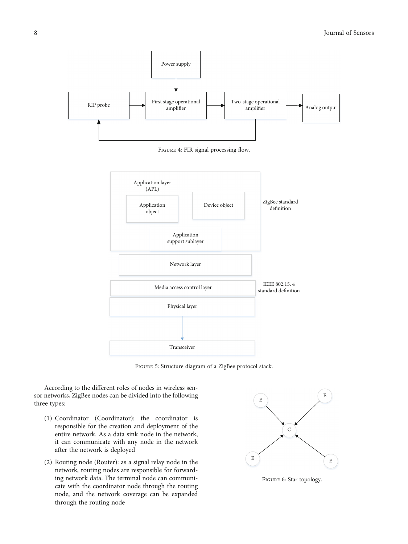<span id="page-7-0"></span>

FIGURE 4: FIR signal processing flow.



Figure 5: Structure diagram of a ZigBee protocol stack.

According to the different roles of nodes in wireless sensor networks, ZigBee nodes can be divided into the following three types:

- (1) Coordinator (Coordinator): the coordinator is responsible for the creation and deployment of the entire network. As a data sink node in the network, it can communicate with any node in the network after the network is deployed
- (2) Routing node (Router): as a signal relay node in the network, routing nodes are responsible for forwarding network data. The terminal node can communicate with the coordinator node through the routing node, and the network coverage can be expanded through the routing node



Figure 6: Star topology.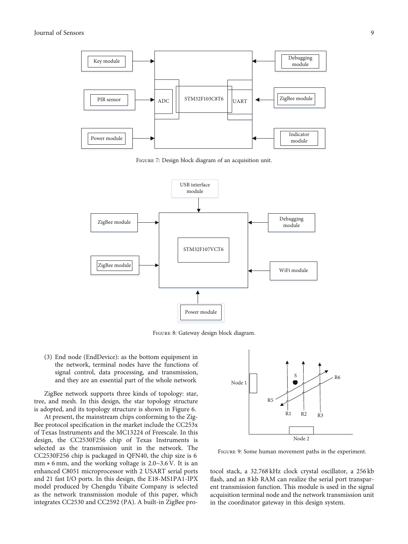<span id="page-8-0"></span>

Figure 7: Design block diagram of an acquisition unit.



Figure 8: Gateway design block diagram.

(3) End node (EndDevice): as the bottom equipment in the network, terminal nodes have the functions of signal control, data processing, and transmission, and they are an essential part of the whole network

ZigBee network supports three kinds of topology: star, tree, and mesh. In this design, the star topology structure is adopted, and its topology structure is shown in Figure [6](#page-7-0).

At present, the mainstream chips conforming to the Zig-Bee protocol specification in the market include the CC253x of Texas Instruments and the MC13224 of Freescale. In this design, the CC2530F256 chip of Texas Instruments is selected as the transmission unit in the network. The CC2530F256 chip is packaged in QFN40, the chip size is 6 mm ∗ 6 mm, and the working voltage is 2.0~3.6 V. It is an enhanced C8051 microprocessor with 2 USART serial ports and 21 fast I/O ports. In this design, the E18-MS1PA1-IPX model produced by Chengdu Yibaite Company is selected as the network transmission module of this paper, which integrates CC2530 and CC2592 (PA). A built-in ZigBee pro-



Figure 9: Some human movement paths in the experiment.

tocol stack, a 32.768 kHz clock crystal oscillator, a 256 kb flash, and an 8 kb RAM can realize the serial port transparent transmission function. This module is used in the signal acquisition terminal node and the network transmission unit in the coordinator gateway in this design system.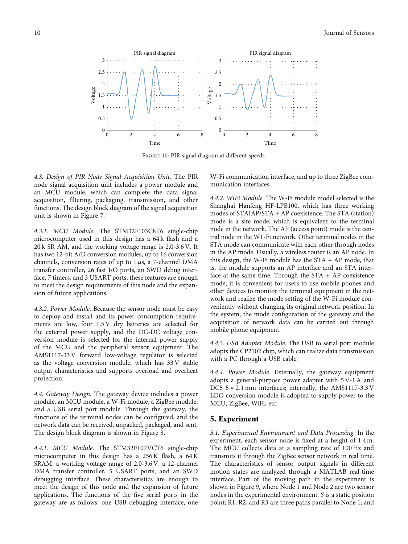<span id="page-9-0"></span>

Figure 10: PIR signal diagram at different speeds.

4.3. Design of PIR Node Signal Acquisition Unit. The PIR node signal acquisition unit includes a power module and an MCU module, which can complete the data signal acquisition, filtering, packaging, transmission, and other functions. The design block diagram of the signal acquisition unit is shown in Figure [7.](#page-8-0)

4.3.1. MCU Module. The STM32F103C8T6 single-chip microcomputer used in this design has a 64 k flash and a 20 k SR AM, and the working voltage range is 2.0-3.6 V. It has two 12-bit A/D conversion modules, up to 16 conversion channels, conversion rates of up to 1 *μ*s, a 7-channel DMA transfer controller, 26 fast I/O ports, an SWD debug interface, 7 timers, and 3 USART ports; these features are enough to meet the design requirements of this node and the expansion of future applications.

4.3.2. Power Module. Because the sensor node must be easy to deploy and install and its power consumption requirements are low, four 1.5 V dry batteries are selected for the external power supply, and the DC-DC voltage conversion module is selected for the internal power supply of the MCU and the peripheral sensor equipment. The AMS1117-33 V forward low-voltage regulator is selected as the voltage conversion module, which has 33 V stable output characteristics and supports overload and overheat protection.

4.4. Gateway Design. The gateway device includes a power module, an MCU module, a W-Fi module, a ZigBee module, and a USB serial port module. Through the gateway, the functions of the terminal nodes can be configured, and the network data can be received, unpacked, packaged, and sent. The design block diagram is shown in Figure [8](#page-8-0).

4.4.1. MCU Module. The STM32F107VCT6 single-chip microcomputer in this design has a 256 K flash, a 64 K SRAM, a working voltage range of 2.0-3.6 V, a 12-channel DMA transfer controller, 5 USART ports, and an SWD debugging interface. These characteristics are enough to meet the design of this node and the expansion of future applications. The functions of the five serial ports in the gateway are as follows: one USB debugging interface, one

W-Fi communication interface, and up to three ZigBee communication interfaces.

4.4.2. WiFi Module. The W-Fi module model selected is the Shanghai Hanfeng HF-LPB100, which has three working modes of STAIAP/STA + AP coexistence. The STA (station) mode is a site mode, which is equivalent to the terminal node in the network. The AP (access point) mode is the central node in the W1-Fi network. Other terminal nodes in the STA mode can communicate with each other through nodes in the AP mode. Usually, a wireless router is an AP node. In this design, the W-Fi module has the  $STA + AP$  mode, that is, the module supports an AP interface and an STA interface at the same time. Through the  $STA + AP$  coexistence mode, it is convenient for users to use mobile phones and other devices to monitor the terminal equipment in the network and realize the mode setting of the W-Fi module conveniently without changing its original network position. In the system, the mode configuration of the gateway and the acquisition of network data can be carried out through mobile phone equipment.

4.4.3. USB Adapter Module. The USB to serial port module adopts the CP2102 chip, which can realize data transmission with a PC through a USB cable.

4.4.4. Power Module. Externally, the gateway equipment adopts a general-purpose power adapter with 5 V-1 A and DC5 5  $*$  2.1 mm interfaces; internally, the AMS1117-3.3 V LDO conversion module is adopted to supply power to the MCU, ZigBee, WiFi, etc.

#### 5. Experiment

5.1. Experimental Environment and Data Processing. In the experiment, each sensor node is fixed at a height of 1.4 m. The MCU collects data at a sampling rate of 100 Hz and transmits it through the ZigBee sensor network in real time. The characteristics of sensor output signals in different motion states are analyzed through a MATLAB real-time interface. Part of the moving path in the experiment is shown in Figure [9,](#page-8-0) where Node 1 and Node 2 are two sensor nodes in the experimental environment. *S* is a static position point; R1, R2, and R3 are three paths parallel to Node 1; and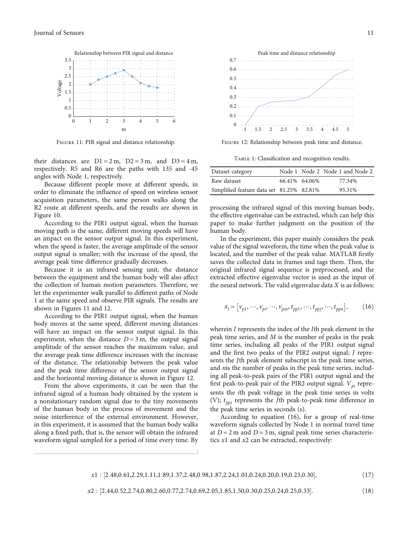<span id="page-10-0"></span>

Figure 11: PIR signal and distance relationship.

their distances are  $D1 = 2m$ ,  $D2 = 3m$ , and  $D3 = 4m$ , respectively. R5 and R6 are the paths with 135 and -45 angles with Node 1, respectively.

Because different people move at different speeds, in order to eliminate the influence of speed on wireless sensor acquisition parameters, the same person walks along the R2 route at different speeds, and the results are shown in Figure [10](#page-9-0).

According to the PIR1 output signal, when the human moving path is the same, different moving speeds will have an impact on the sensor output signal. In this experiment, when the speed is faster, the average amplitude of the sensor output signal is smaller; with the increase of the speed, the average peak time difference gradually decreases.

Because it is an infrared sensing unit, the distance between the equipment and the human body will also affect the collection of human motion parameters. Therefore, we let the experimenter walk parallel to different paths of Node 1 at the same speed and observe PIR signals. The results are shown in Figures 11 and 12.

According to the PIR1 output signal, when the human body moves at the same speed, different moving distances will have an impact on the sensor output signal. In this experiment, when the distance  $D = 3$  m, the output signal amplitude of the sensor reaches the maximum value, and the average peak time difference increases with the increase of the distance. The relationship between the peak value and the peak time difference of the sensor output signal and the horizontal moving distance is shown in Figure 12.

From the above experiments, it can be seen that the infrared signal of a human body obtained by the system is a nonstationary random signal due to the tiny movements of the human body in the process of movement and the noise interference of the external environment. However, in this experiment, it is assumed that the human body walks along a fixed path, that is, the sensor will obtain the infrared waveform signal sampled for a period of time every time. By



Figure 12: Relationship between peak time and distance.

TABLE 1: Classification and recognition results.

| Dataset category                          |               | Node 1 Node 2 Node 1 and Node 2 |
|-------------------------------------------|---------------|---------------------------------|
| Raw dataset                               | 66.41% 64.06% | 77.34%                          |
| Simplified feature data set 81.25% 82.81% |               | 95.31%                          |

processing the infrared signal of this moving human body, the effective eigenvalue can be extracted, which can help this paper to make further judgment on the position of the human body.

In the experiment, this paper mainly considers the peak value of the signal waveform, the time when the peak value is located, and the number of the peak value. MATLAB firstly saves the collected data in frames and tags them. Then, the original infrared signal sequence is preprocessed, and the extracted effective eigenvalue vector is used as the input of the neural network. The valid eigenvalue data *X* is as follows:

$$
x_i = [v_{p1}, \dots, v_{pi}, \dots, v_{pm}, t_{pp1}, \dots, t_{ppj}, \dots, t_{ppn}],
$$
 (16)

wherein *I* represents the index of the *I*th peak element in the peak time series, and *M* is the number of peaks in the peak time series, including all peaks of the PIR1 output signal and the first two peaks of the PIR2 output signal; *J* represents the *J*th peak element subscript in the peak time series, and *n*is the number of peaks in the peak time series, including all peak-to-peak pairs of the PIR1 output signal and the first peak-to-peak pair of the PIR2 output signal.  $V_{pi}$  represents the *i*th peak voltage in the peak time series in volts (V);  $t_{ppj}$  represents the *J*th peak-to-peak time difference in the peak time series in seconds (s).

According to equation (16), for a group of real-time waveform signals collected by Node 1 in normal travel time at  $D = 2$  m and  $D = 3$  m, signal peak time series characteristics *x*1 and *x*2 can be extracted, respectively:

| $x1:[2.48,0.61,2.29,1.11,1.89,1.37,2.48,0.98,1.87,2.24,1.01,0.24,0.20,0.19,0.23,0.30],$ | (17) |
|-----------------------------------------------------------------------------------------|------|
|                                                                                         |      |

$$
x2: [2.44, 0.52, 2.74, 0.80, 2.60, 0.77, 2.74, 0.69, 2.05, 1.85, 1.50, 0.30, 0.25, 0.24, 0.25, 0.33].
$$
\n
$$
(18)
$$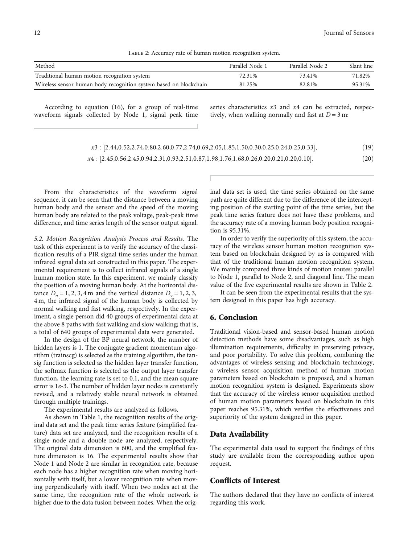Table 2: Accuracy rate of human motion recognition system.

| Method                                                            | Parallel Node 1 | Parallel Node 2 | Slant line |
|-------------------------------------------------------------------|-----------------|-----------------|------------|
| Traditional human motion recognition system                       | 72.31%          | 73.41%          | 71.82%     |
| Wireless sensor human body recognition system based on blockchain | 81.25%          | 82.81%          | 95.31%     |

According to equation ([16](#page-10-0)), for a group of real-time waveform signals collected by Node 1, signal peak time series characteristics *x*3 and *x*4 can be extracted, respectively, when walking normally and fast at  $D = 3$  m:

| $x3:[2.44, 0.52, 2.74, 0.80, 2.60, 0.77, 2.74, 0.69, 2.05, 1.85, 1.50, 0.30, 0.25, 0.24, 0.25, 0.33],$ | (19) |
|--------------------------------------------------------------------------------------------------------|------|
| $x4$ : [2.45,0.56,2.45,0.94,2.31,0.93,2.51,0.87,1.98,1.76,1.68,0.26,0.20,0.21,0.20,0.10].              | (20) |

From the characteristics of the waveform signal sequence, it can be seen that the distance between a moving human body and the sensor and the speed of the moving human body are related to the peak voltage, peak-peak time difference, and time series length of the sensor output signal.

5.2. Motion Recognition Analysis Process and Results. The task of this experiment is to verify the accuracy of the classification results of a PIR signal time series under the human infrared signal data set constructed in this paper. The experimental requirement is to collect infrared signals of a single human motion state. In this experiment, we mainly classify the position of a moving human body. At the horizontal distance  $D_n = 1, 2, 3, 4$  m and the vertical distance  $D_v = 1, 2, 3,$ 4 m, the infrared signal of the human body is collected by normal walking and fast walking, respectively. In the experiment, a single person did 40 groups of experimental data at the above 8 paths with fast walking and slow walking; that is, a total of 640 groups of experimental data were generated.

In the design of the BP neural network, the number of hidden layers is 1. The conjugate gradient momentum algorithm (trainscg) is selected as the training algorithm, the tansig function is selected as the hidden layer transfer function, the softmax function is selected as the output layer transfer function, the learning rate is set to 0.1, and the mean square error is 1*e*‐3. The number of hidden layer nodes is constantly revised, and a relatively stable neural network is obtained through multiple trainings.

The experimental results are analyzed as follows.

As shown in Table [1,](#page-10-0) the recognition results of the original data set and the peak time series feature (simplified feature) data set are analyzed, and the recognition results of a single node and a double node are analyzed, respectively. The original data dimension is 600, and the simplified feature dimension is 16. The experimental results show that Node 1 and Node 2 are similar in recognition rate, because each node has a higher recognition rate when moving horizontally with itself, but a lower recognition rate when moving perpendicularly with itself. When two nodes act at the same time, the recognition rate of the whole network is higher due to the data fusion between nodes. When the original data set is used, the time series obtained on the same path are quite different due to the difference of the intercepting position of the starting point of the time series, but the peak time series feature does not have these problems, and the accuracy rate of a moving human body position recognition is 95.31%.

In order to verify the superiority of this system, the accuracy of the wireless sensor human motion recognition system based on blockchain designed by us is compared with that of the traditional human motion recognition system. We mainly compared three kinds of motion routes: parallel to Node 1, parallel to Node 2, and diagonal line. The mean value of the five experimental results are shown in Table 2.

It can be seen from the experimental results that the system designed in this paper has high accuracy.

#### 6. Conclusion

Traditional vision-based and sensor-based human motion detection methods have some disadvantages, such as high illumination requirements, difficulty in preserving privacy, and poor portability. To solve this problem, combining the advantages of wireless sensing and blockchain technology, a wireless sensor acquisition method of human motion parameters based on blockchain is proposed, and a human motion recognition system is designed. Experiments show that the accuracy of the wireless sensor acquisition method of human motion parameters based on blockchain in this paper reaches 95.31%, which verifies the effectiveness and superiority of the system designed in this paper.

#### Data Availability

The experimental data used to support the findings of this study are available from the corresponding author upon request.

#### Conflicts of Interest

The authors declared that they have no conflicts of interest regarding this work.